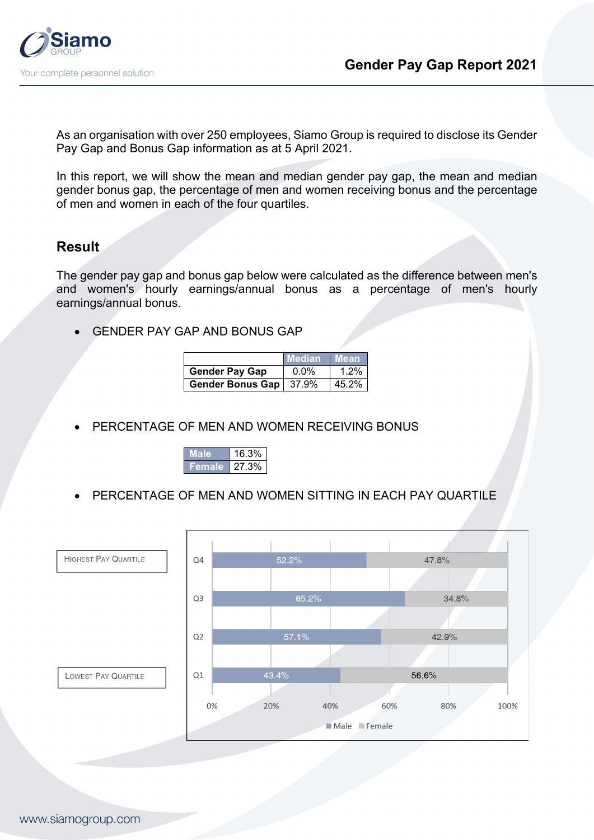

As an organisation with over 250 employees, Siamo Group is required to disclose its Gender Pay Gap and Bonus Gap information as at 5 April 2021.

In this report, we will show the mean and median gender pay gap, the mean and median gender bonus gap, the percentage of men and women receiving bonus and the percentage of men and women in each of the four quartiles.

## **Result**

The gender pay gap and bonus gap below were calculated as the difference between men's and women's hourly earnings/annual bonus as a percentage of men's hourly earnings/annual bonus.

GENDER PAY GAP AND BONUS GAP

 $\overline{a}$ 

|                          | <b>Median</b> | <b>∣Mean</b> |
|--------------------------|---------------|--------------|
| <b>Gender Pay Gap</b>    | $0.0\%$       | 1.2%         |
| Gender Bonus Gap   37.9% |               | 45.2%        |

PERCENTAGE OF MEN AND WOMEN RECEIVING BONUS



PERCENTAGE OF MEN AND WOMEN SITTING IN EACH PAY QUARTILE

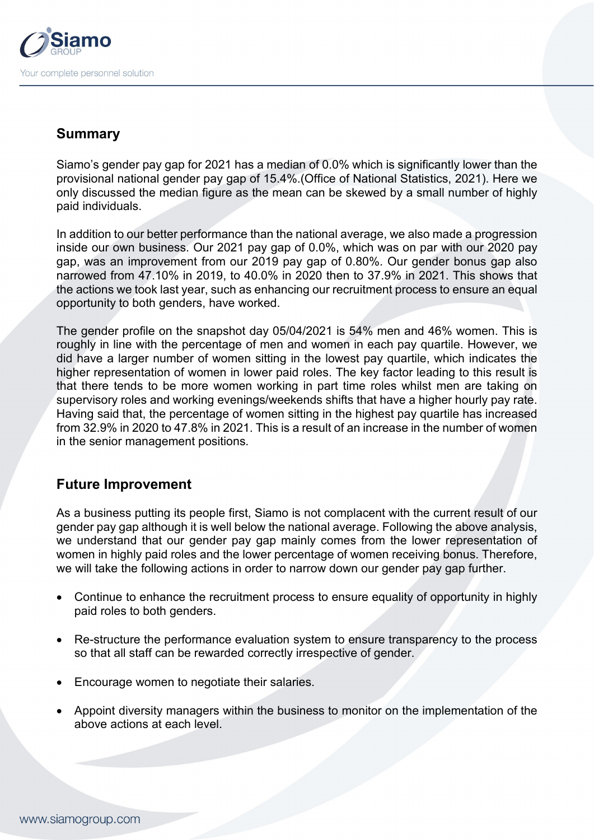

## **Summary**

Siamo's gender pay gap for 2021 has a median of 0.0% which is significantly lower than the provisional national gender pay gap of 15.4%.(Office of National Statistics, 2021). Here we only discussed the median figure as the mean can be skewed by a small number of highly paid individuals.

In addition to our better performance than the national average, we also made a progression inside our own business. Our 2021 pay gap of 0.0%, which was on par with our 2020 pay gap, was an improvement from our 2019 pay gap of 0.80%. Our gender bonus gap also narrowed from 47.10% in 2019, to 40.0% in 2020 then to 37.9% in 2021. This shows that the actions we took last year, such as enhancing our recruitment process to ensure an equal opportunity to both genders, have worked.

The gender profile on the snapshot day 05/04/2021 is 54% men and 46% women. This is roughly in line with the percentage of men and women in each pay quartile. However, we did have a larger number of women sitting in the lowest pay quartile, which indicates the higher representation of women in lower paid roles. The key factor leading to this result is that there tends to be more women working in part time roles whilst men are taking on supervisory roles and working evenings/weekends shifts that have a higher hourly pay rate. Having said that, the percentage of women sitting in the highest pay quartile has increased from 32.9% in 2020 to 47.8% in 2021. This is a result of an increase in the number of women in the senior management positions.

## **Future Improvement**

As a business putting its people first, Siamo is not complacent with the current result of our gender pay gap although it is well below the national average. Following the above analysis, we understand that our gender pay gap mainly comes from the lower representation of women in highly paid roles and the lower percentage of women receiving bonus. Therefore, we will take the following actions in order to narrow down our gender pay gap further.

- Continue to enhance the recruitment process to ensure equality of opportunity in highly paid roles to both genders.
- Re-structure the performance evaluation system to ensure transparency to the process so that all staff can be rewarded correctly irrespective of gender.
- Encourage women to negotiate their salaries.
- Appoint diversity managers within the business to monitor on the implementation of the above actions at each level.